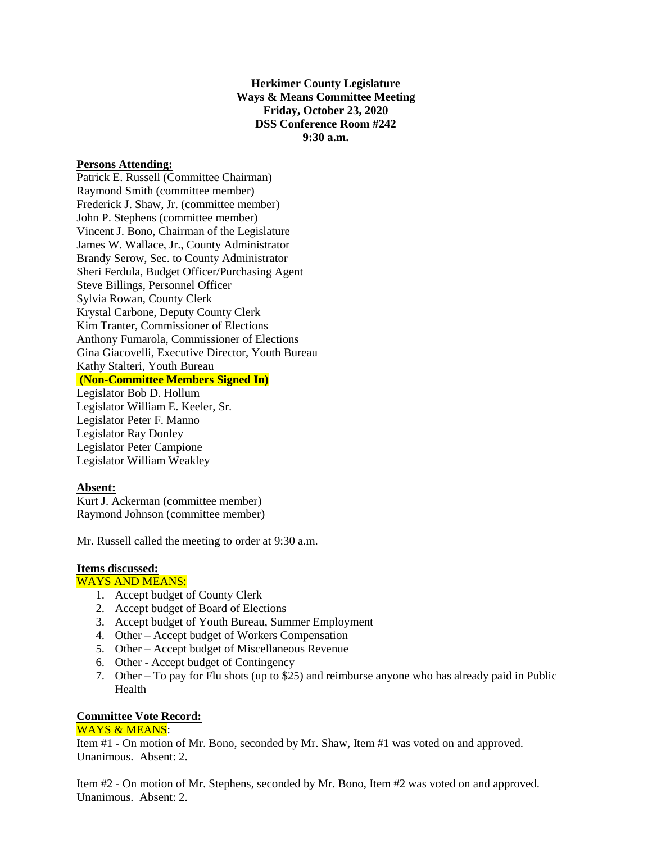**Herkimer County Legislature Ways & Means Committee Meeting Friday, October 23, 2020 DSS Conference Room #242 9:30 a.m.**

#### **Persons Attending:**

Patrick E. Russell (Committee Chairman) Raymond Smith (committee member) Frederick J. Shaw, Jr. (committee member) John P. Stephens (committee member) Vincent J. Bono, Chairman of the Legislature James W. Wallace, Jr., County Administrator Brandy Serow, Sec. to County Administrator Sheri Ferdula, Budget Officer/Purchasing Agent Steve Billings, Personnel Officer Sylvia Rowan, County Clerk Krystal Carbone, Deputy County Clerk Kim Tranter, Commissioner of Elections Anthony Fumarola, Commissioner of Elections Gina Giacovelli, Executive Director, Youth Bureau Kathy Stalteri, Youth Bureau **(Non-Committee Members Signed In)** Legislator Bob D. Hollum

Legislator William E. Keeler, Sr. Legislator Peter F. Manno Legislator Ray Donley Legislator Peter Campione Legislator William Weakley

### **Absent:**

Kurt J. Ackerman (committee member) Raymond Johnson (committee member)

Mr. Russell called the meeting to order at 9:30 a.m.

## **Items discussed:**

# WAYS AND MEANS:

- 1. Accept budget of County Clerk
- 2. Accept budget of Board of Elections
- 3. Accept budget of Youth Bureau, Summer Employment
- 4. Other Accept budget of Workers Compensation
- 5. Other Accept budget of Miscellaneous Revenue
- 6. Other Accept budget of Contingency
- 7. Other To pay for Flu shots (up to \$25) and reimburse anyone who has already paid in Public Health

### **Committee Vote Record:**

### WAYS & MEANS:

Item #1 - On motion of Mr. Bono, seconded by Mr. Shaw, Item #1 was voted on and approved. Unanimous. Absent: 2.

Item #2 - On motion of Mr. Stephens, seconded by Mr. Bono, Item #2 was voted on and approved. Unanimous. Absent: 2.